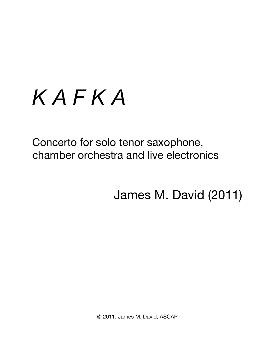# *K A F K A*

Concerto for solo tenor saxophone, chamber orchestra and live electronics

James M. David (2011)

© 2011, James M. David, ASCAP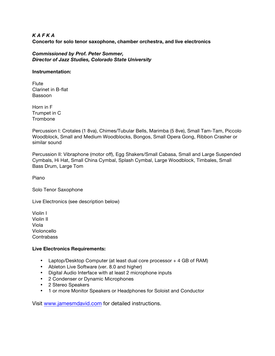## *K A F K A*

**Concerto for solo tenor saxophone, chamber orchestra, and live electronics**

### *Commissioned by Prof. Peter Sommer, Director of Jazz Studies, Colorado State University*

#### **Instrumentation:**

Flute Clarinet in B-flat Bassoon

Horn in F Trumpet in C Trombone

Percussion I: Crotales (1 8va), Chimes/Tubular Bells, Marimba (5 8ve), Small Tam-Tam, Piccolo Woodblock, Small and Medium Woodblocks, Bongos, Small Opera Gong, Ribbon Crasher or similar sound

Percussion II: Vibraphone (motor off), Egg Shakers/Small Cabasa, Small and Large Suspended Cymbals, Hi Hat, Small China Cymbal, Splash Cymbal, Large Woodblock, Timbales, Small Bass Drum, Large Tom

Piano

Solo Tenor Saxophone

Live Electronics (see description below)

Violin I Violin II Viola Violoncello **Contrabass** 

#### **Live Electronics Requirements:**

- Laptop/Desktop Computer (at least dual core processor + 4 GB of RAM)
- Ableton Live Software (ver. 8.0 and higher)
- Digital Audio Interface with at least 2 microphone inputs
- 2 Condenser or Dynamic Microphones
- 2 Stereo Speakers
- 1 or more Monitor Speakers or Headphones for Soloist and Conductor

Visit www.jamesmdavid.com for detailed instructions.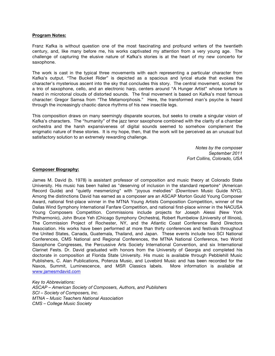#### **Program Notes:**

Franz Kafka is without question one of the most fascinating and profound writers of the twentieth century, and, like many before me, his works captivated my attention from a very young age. The challenge of capturing the elusive nature of Kafka's stories is at the heart of my new concerto for saxophone.

The work is cast in the typical three movements with each representing a particular character from Kafka's output. "The Bucket Rider" is depicted as a spacious and lyrical etude that evokes the character's mysterious ascent into the sky that concludes this story. The central movement, scored for a trio of saxophone, cello, and an electronic harp, centers around "A Hunger Artist" whose torture is heard in microtonal clouds of distorted sounds. The final movement is based on Kafka's most famous character: Gregor Samsa from "The Metamorphosis." Here, the transformed man's psyche is heard through the increasingly chaotic dance rhythms of his new insectile legs.

This composition draws on many seemingly disparate sources, but seeks to create a singular vision of Kafka's characters. The "humanity" of the jazz tenor saxophone combined with the clarity of a chamber orchestra and the harsh expansiveness of digital sounds seemed to somehow complement the enigmatic nature of these stories. It is my hope, then, that the work will be perceived as an unusual but satisfactory solution to an extremely rewarding challenge.

> *Notes by the composer September 2011 Fort Collins, Colorado, USA*

#### **Composer Biography:**

James M. David (b. 1978) is assistant professor of composition and music theory at Colorado State University. His music has been hailed as "deserving of inclusion in the standard repertoire" (American Record Guide) and "quietly mesmerizing" with "joyous melodies" (Downtown Music Guide NYC). Among the distinctions David has earned as a composer are an ASCAP Morton Gould Young Composer Award, national first-place winner in the MTNA Young Artists Composition Competition, winner of the Dallas Wind Symphony International Fanfare Competition, and national first-place winner in the NACUSA Young Composers Competition. Commissions include projects for Joseph Alessi (New York Philharmonic), John Bruce Yeh (Chicago Symphony Orchestra), Robert Rumbelow (University of Illinois), The Commission Project of Rochester, NY, and the Atlantic Coast Conference Band Directors Association. His works have been performed at more than thirty conferences and festivals throughout the United States, Canada, Guatemala, Thailand, and Japan. These events include two SCI National Conferences, CMS National and Regional Conferences, the MTNA National Conference, two World Saxophone Congresses, the Percussive Arts Society International Convention, and six International Clarinet Fests. Dr. David graduated with honors from the University of Georgia and completed his doctorate in composition at Florida State University. His music is available through Pebblehill Music Publishers, C. Alan Publications, Potenza Music, and Lovebird Music and has been recorded for the Naxos, Summit, Luminescence, and MSR Classics labels. More information is available at www.jamesmdavid.com

*Key to Abbreviations: ASCAP – American Society of Composers, Authors, and Publishers SCI – Society of Composers, Inc. MTNA – Music Teachers National Association CMS – College Music Society*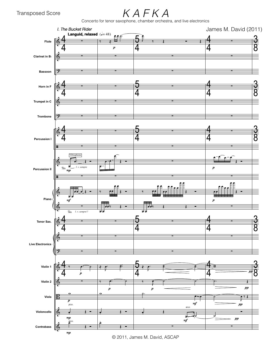# $K A F K A$

Concerto for tenor saxophone, chamber orchestra, and live electronics



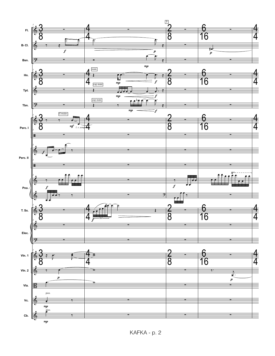

KAFKA - p. 2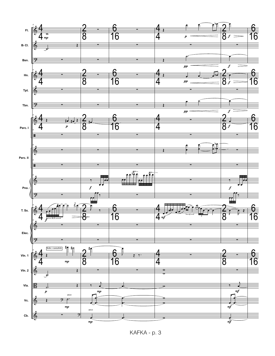

KAFKA - p. 3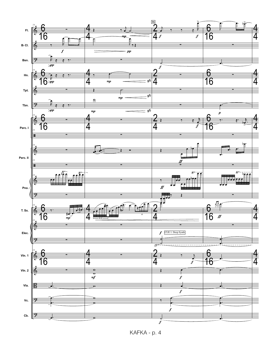

KAFKA - p. 4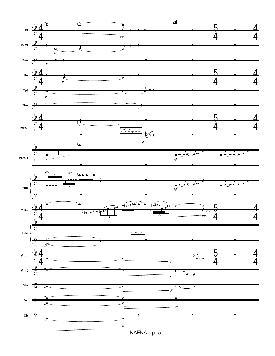

KAFKA - p. 5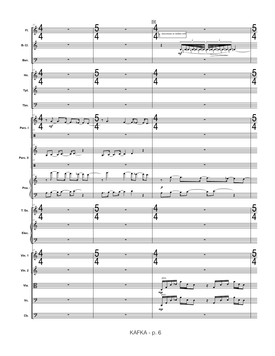![](_page_8_Figure_0.jpeg)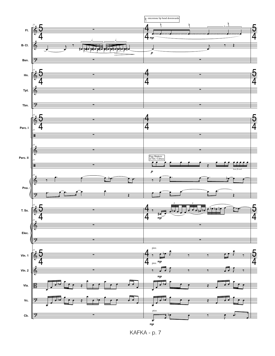![](_page_9_Figure_0.jpeg)

KAFKA - p. 7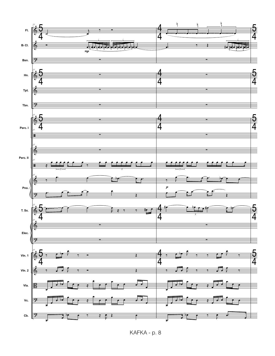![](_page_10_Figure_0.jpeg)

KAFKA - p. 8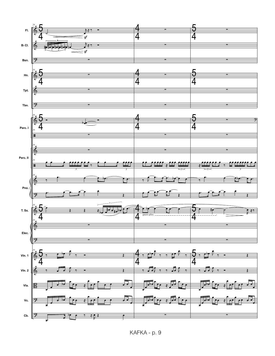![](_page_11_Figure_0.jpeg)

KAFKA - p. 9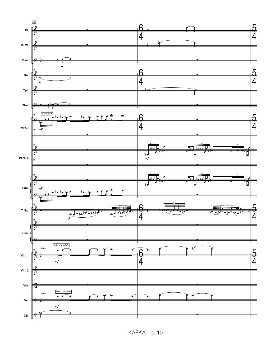![](_page_12_Figure_0.jpeg)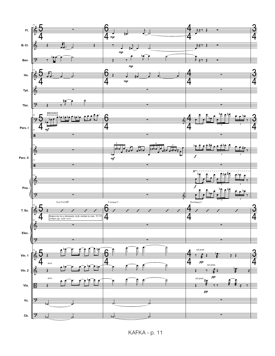![](_page_13_Figure_0.jpeg)

KAFKA - p. 11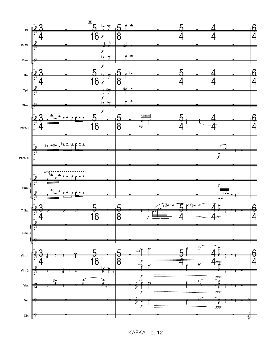![](_page_14_Figure_0.jpeg)

KAFKA - p. 12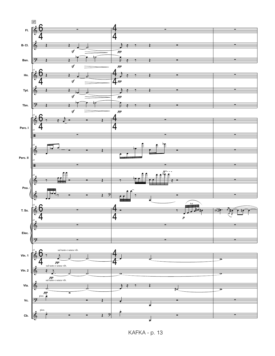![](_page_15_Figure_0.jpeg)

KAFKA - p. 13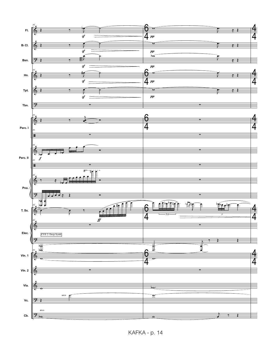![](_page_16_Figure_0.jpeg)

KAFKA - p. 14